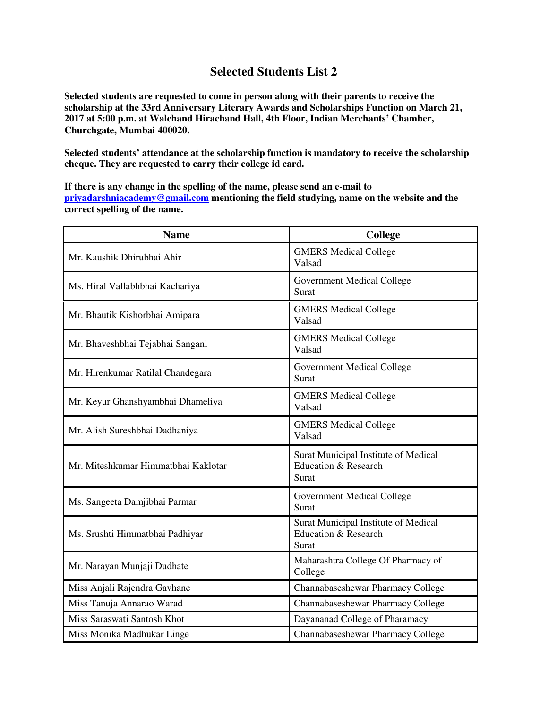## **Selected Students List 2**

**Selected students are requested to come in person along with their parents to receive the scholarship at the 33rd Anniversary Literary Awards and Scholarships Function on March 21, 2017 at 5:00 p.m. at Walchand Hirachand Hall, 4th Floor, Indian Merchants' Chamber, Churchgate, Mumbai 400020.** 

**Selected students' attendance at the scholarship function is mandatory to receive the scholarship cheque. They are requested to carry their college id card.** 

**If there is any change in the spelling of the name, please send an e-mail to priyadarshniacademy@gmail.com mentioning the field studying, name on the website and the correct spelling of the name.** 

| <b>Name</b>                         | College                                                               |
|-------------------------------------|-----------------------------------------------------------------------|
| Mr. Kaushik Dhirubhai Ahir          | <b>GMERS Medical College</b><br>Valsad                                |
| Ms. Hiral Vallabhbhai Kachariya     | <b>Government Medical College</b><br>Surat                            |
| Mr. Bhautik Kishorbhai Amipara      | <b>GMERS Medical College</b><br>Valsad                                |
| Mr. Bhaveshbhai Tejabhai Sangani    | <b>GMERS Medical College</b><br>Valsad                                |
| Mr. Hirenkumar Ratilal Chandegara   | <b>Government Medical College</b><br>Surat                            |
| Mr. Keyur Ghanshyambhai Dhameliya   | <b>GMERS Medical College</b><br>Valsad                                |
| Mr. Alish Sureshbhai Dadhaniya      | <b>GMERS Medical College</b><br>Valsad                                |
| Mr. Miteshkumar Himmatbhai Kaklotar | Surat Municipal Institute of Medical<br>Education & Research<br>Surat |
| Ms. Sangeeta Damjibhai Parmar       | Government Medical College<br>Surat                                   |
| Ms. Srushti Himmatbhai Padhiyar     | Surat Municipal Institute of Medical<br>Education & Research<br>Surat |
| Mr. Narayan Munjaji Dudhate         | Maharashtra College Of Pharmacy of<br>College                         |
| Miss Anjali Rajendra Gavhane        | Channabaseshewar Pharmacy College                                     |
| Miss Tanuja Annarao Warad           | Channabaseshewar Pharmacy College                                     |
| Miss Saraswati Santosh Khot         | Dayananad College of Pharamacy                                        |
| Miss Monika Madhukar Linge          | Channabaseshewar Pharmacy College                                     |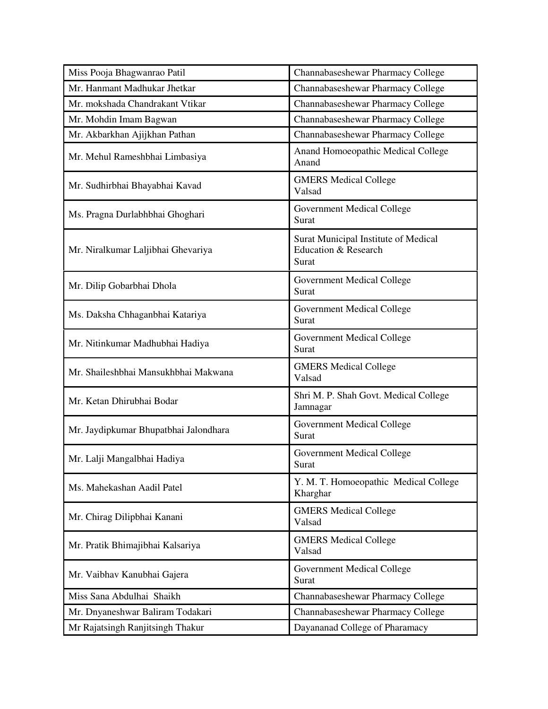| Miss Pooja Bhagwanrao Patil           | Channabaseshewar Pharmacy College                                                |
|---------------------------------------|----------------------------------------------------------------------------------|
| Mr. Hanmant Madhukar Jhetkar          | Channabaseshewar Pharmacy College                                                |
| Mr. mokshada Chandrakant Vtikar       | Channabaseshewar Pharmacy College                                                |
| Mr. Mohdin Imam Bagwan                | Channabaseshewar Pharmacy College                                                |
| Mr. Akbarkhan Ajijkhan Pathan         | Channabaseshewar Pharmacy College                                                |
| Mr. Mehul Rameshbhai Limbasiya        | Anand Homoeopathic Medical College<br>Anand                                      |
| Mr. Sudhirbhai Bhayabhai Kavad        | <b>GMERS Medical College</b><br>Valsad                                           |
| Ms. Pragna Durlabhbhai Ghoghari       | Government Medical College<br>Surat                                              |
| Mr. Niralkumar Laljibhai Ghevariya    | Surat Municipal Institute of Medical<br><b>Education &amp; Research</b><br>Surat |
| Mr. Dilip Gobarbhai Dhola             | <b>Government Medical College</b><br>Surat                                       |
| Ms. Daksha Chhaganbhai Katariya       | <b>Government Medical College</b><br>Surat                                       |
| Mr. Nitinkumar Madhubhai Hadiya       | Government Medical College<br>Surat                                              |
| Mr. Shaileshbhai Mansukhbhai Makwana  | <b>GMERS Medical College</b><br>Valsad                                           |
| Mr. Ketan Dhirubhai Bodar             | Shri M. P. Shah Govt. Medical College<br>Jamnagar                                |
| Mr. Jaydipkumar Bhupatbhai Jalondhara | Government Medical College<br>Surat                                              |
| Mr. Lalji Mangalbhai Hadiya           | <b>Government Medical College</b><br>Surat                                       |
| Ms. Mahekashan Aadil Patel            | Y. M. T. Homoeopathic Medical College<br>Kharghar                                |
| Mr. Chirag Dilipbhai Kanani           | <b>GMERS Medical College</b><br>Valsad                                           |
| Mr. Pratik Bhimajibhai Kalsariya      | <b>GMERS Medical College</b><br>Valsad                                           |
| Mr. Vaibhav Kanubhai Gajera           | Government Medical College<br>Surat                                              |
| Miss Sana Abdulhai Shaikh             | Channabaseshewar Pharmacy College                                                |
| Mr. Dnyaneshwar Baliram Todakari      | Channabaseshewar Pharmacy College                                                |
| Mr Rajatsingh Ranjitsingh Thakur      | Dayananad College of Pharamacy                                                   |